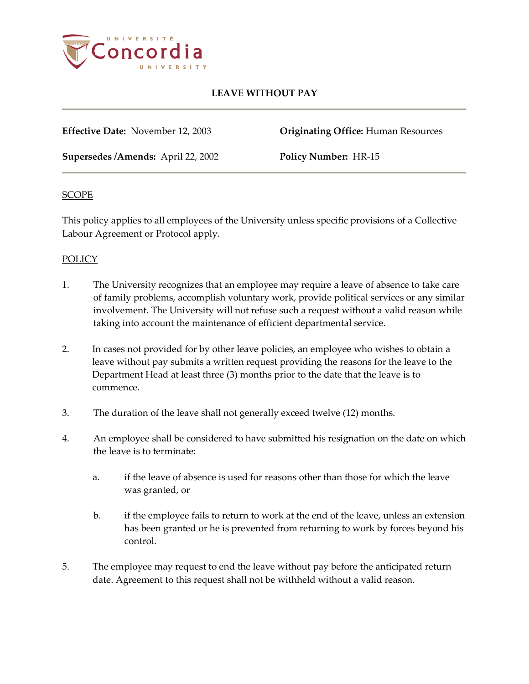

# **LEAVE WITHOUT PAY**

**Effective Date:** November 12, 2003 **Originating Office:** Human Resources

**Supersedes /Amends:** April 22, 2002 **Policy Number:** HR-15

## **SCOPE**

This policy applies to all employees of the University unless specific provisions of a Collective Labour Agreement or Protocol apply.

## POLICY

- 1. The University recognizes that an employee may require a leave of absence to take care of family problems, accomplish voluntary work, provide political services or any similar involvement. The University will not refuse such a request without a valid reason while taking into account the maintenance of efficient departmental service.
- 2. In cases not provided for by other leave policies, an employee who wishes to obtain a leave without pay submits a written request providing the reasons for the leave to the Department Head at least three (3) months prior to the date that the leave is to commence.
- 3. The duration of the leave shall not generally exceed twelve (12) months.
- 4. An employee shall be considered to have submitted his resignation on the date on which the leave is to terminate:
	- a. if the leave of absence is used for reasons other than those for which the leave was granted, or
	- b. if the employee fails to return to work at the end of the leave, unless an extension has been granted or he is prevented from returning to work by forces beyond his control.
- 5. The employee may request to end the leave without pay before the anticipated return date. Agreement to this request shall not be withheld without a valid reason.